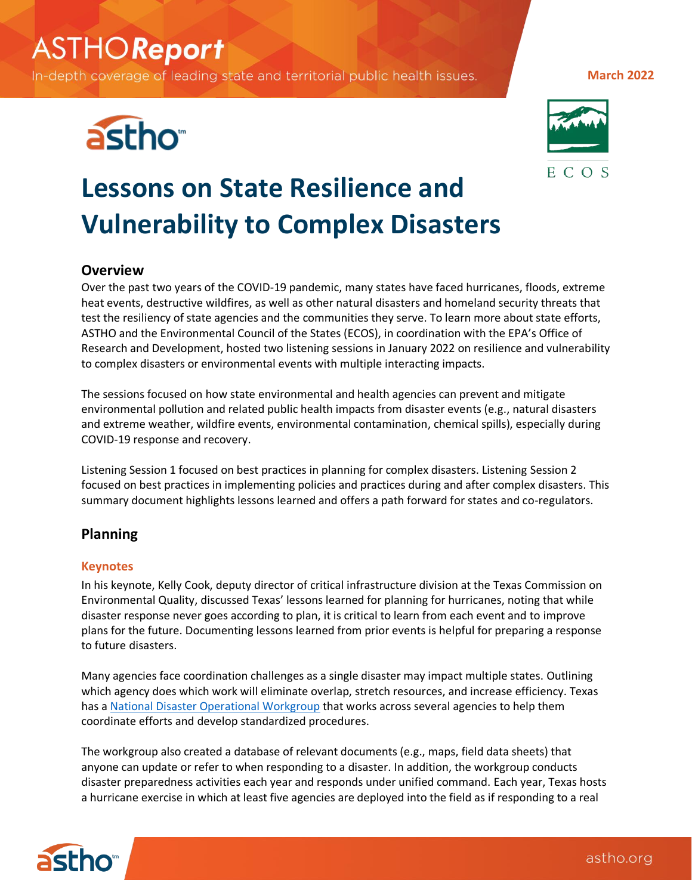# **ASTHOReport**

In-depth coverage of leading state and territorial public health issues.





**March 2022**

# **Lessons on State Resilience and Vulnerability to Complex Disasters**

# **Overview**

Over the past two years of the COVID-19 pandemic, many states have faced hurricanes, floods, extreme heat events, destructive wildfires, as well as other natural disasters and homeland security threats that test the resiliency of state agencies and the communities they serve. To learn more about state efforts, ASTHO and the Environmental Council of the States (ECOS), in coordination with the EPA's Office of Research and Development, hosted two listening sessions in January 2022 on resilience and vulnerability to complex disasters or environmental events with multiple interacting impacts.

The sessions focused on how state environmental and health agencies can prevent and mitigate environmental pollution and related public health impacts from disaster events (e.g., natural disasters and extreme weather, wildfire events, environmental contamination, chemical spills), especially during COVID-19 response and recovery.

Listening Session 1 focused on best practices in planning for complex disasters. Listening Session 2 focused on best practices in implementing policies and practices during and after complex disasters. This summary document highlights lessons learned and offers a path forward for states and co-regulators.

# **Planning**

## **Keynotes**

In his keynote, Kelly Cook, deputy director of critical infrastructure division at the Texas Commission on Environmental Quality, discussed Texas' lessons learned for planning for hurricanes, noting that while disaster response never goes according to plan, it is critical to learn from each event and to improve plans for the future. Documenting lessons learned from prior events is helpful for preparing a response to future disasters.

Many agencies face coordination challenges as a single disaster may impact multiple states. Outlining which agency does which work will eliminate overlap, stretch resources, and increase efficiency. Texas has [a National Disaster Operational Workgroup](http://ndow.net/) that works across several agencies to help them coordinate efforts and develop standardized procedures.

The workgroup also created a database of relevant documents (e.g., maps, field data sheets) that anyone can update or refer to when responding to a disaster. In addition, the workgroup conducts disaster preparedness activities each year and responds under unified command. Each year, Texas hosts a hurricane exercise in which at least five agencies are deployed into the field as if responding to a real

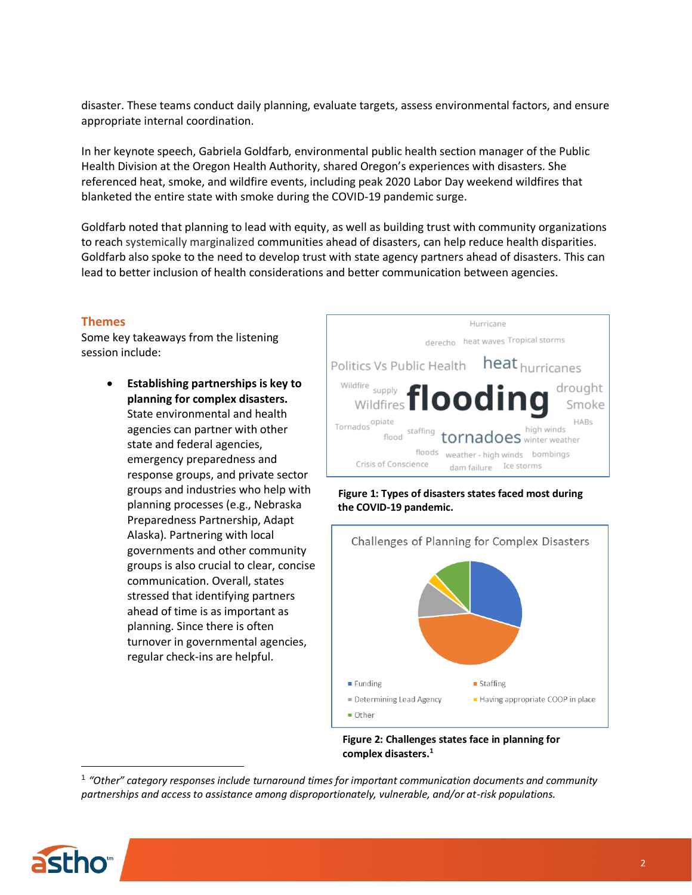disaster. These teams conduct daily planning, evaluate targets, assess environmental factors, and ensure appropriate internal coordination.

In her keynote speech, Gabriela Goldfarb, environmental public health section manager of the Public Health Division at the Oregon Health Authority, shared Oregon's experiences with disasters. She referenced heat, smoke, and wildfire events, including peak 2020 Labor Day weekend wildfires that blanketed the entire state with smoke during the COVID-19 pandemic surge.

Goldfarb noted that planning to lead with equity, as well as building trust with community organizations to reach systemically marginalized communities ahead of disasters, can help reduce health disparities. Goldfarb also spoke to the need to develop trust with state agency partners ahead of disasters. This can lead to better inclusion of health considerations and better communication between agencies.

### **Themes**

Some key takeaways from the listening session include:

> • **Establishing partnerships is key to planning for complex disasters.** State environmental and health agencies can partner with other state and federal agencies, emergency preparedness and response groups, and private sector groups and industries who help with planning processes (e.g., Nebraska Preparedness Partnership, Adapt Alaska). Partnering with local governments and other community groups is also crucial to clear, concise communication. Overall, states stressed that identifying partners ahead of time is as important as planning. Since there is often turnover in governmental agencies, regular check-ins are helpful.







**Figure 2: Challenges states face in planning for complex disasters.<sup>1</sup>**

<sup>1</sup> *"Other" category responses include turnaround times for important communication documents and community partnerships and access to assistance among disproportionately, vulnerable, and/or at-risk populations.*

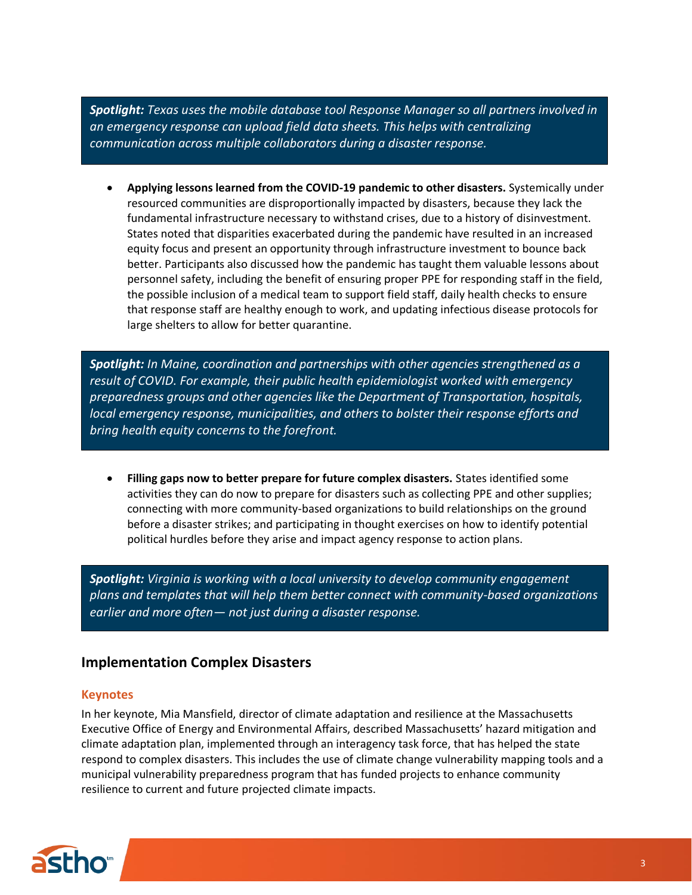*Spotlight: Texas uses the mobile database tool Response Manager so all partners involved in an emergency response can upload field data sheets. This helps with centralizing communication across multiple collaborators during a disaster response.* 

• **Applying lessons learned from the COVID-19 pandemic to other disasters.** Systemically under resourced communities are disproportionally impacted by disasters, because they lack the fundamental infrastructure necessary to withstand crises, due to a history of disinvestment. States noted that disparities exacerbated during the pandemic have resulted in an increased equity focus and present an opportunity through infrastructure investment to bounce back better. Participants also discussed how the pandemic has taught them valuable lessons about personnel safety, including the benefit of ensuring proper PPE for responding staff in the field, the possible inclusion of a medical team to support field staff, daily health checks to ensure that response staff are healthy enough to work, and updating infectious disease protocols for large shelters to allow for better quarantine.

*Spotlight: In Maine, coordination and partnerships with other agencies strengthened as a result of COVID. For example, their public health epidemiologist worked with emergency preparedness groups and other agencies like the Department of Transportation, hospitals, local emergency response, municipalities, and others to bolster their response efforts and bring health equity concerns to the forefront.* 

• **Filling gaps now to better prepare for future complex disasters.** States identified some activities they can do now to prepare for disasters such as collecting PPE and other supplies; connecting with more community-based organizations to build relationships on the ground before a disaster strikes; and participating in thought exercises on how to identify potential political hurdles before they arise and impact agency response to action plans.

*Spotlight: Virginia is working with a local university to develop community engagement plans and templates that will help them better connect with community-based organizations earlier and more often— not just during a disaster response.*

# **Implementation Complex Disasters**

#### **Keynotes**

In her keynote, Mia Mansfield, director of climate adaptation and resilience at the Massachusetts Executive Office of Energy and Environmental Affairs, described Massachusetts' hazard mitigation and climate adaptation plan, implemented through an interagency task force, that has helped the state respond to complex disasters. This includes the use of climate change vulnerability mapping tools and a municipal vulnerability preparedness program that has funded projects to enhance community resilience to current and future projected climate impacts.

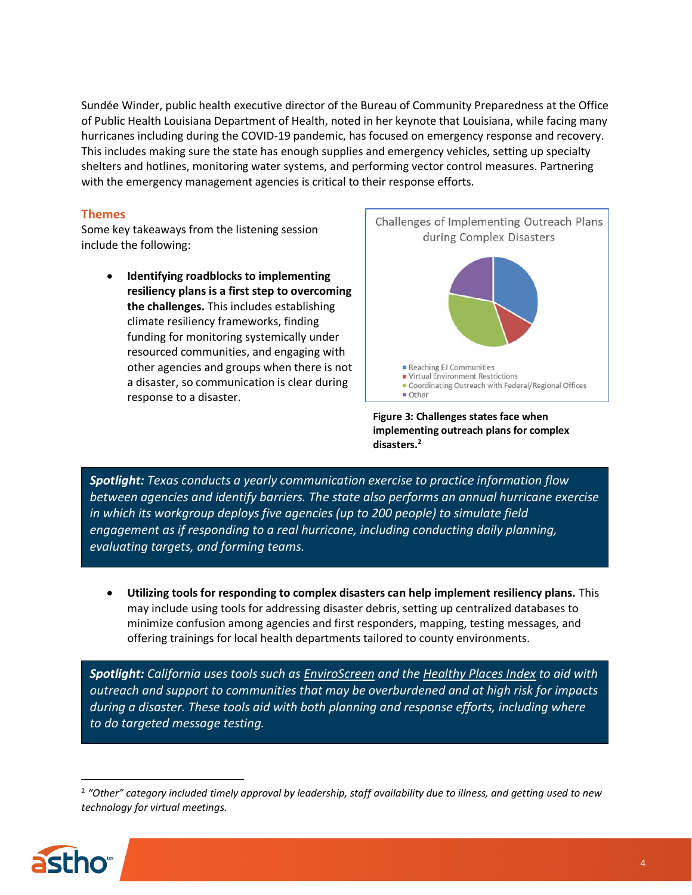Sundée Winder, public health executive director of the Bureau of Community Preparedness at the Office of Public Health Louisiana Department of Health, noted in her keynote that Louisiana, while facing many hurricanes including during the COVID-19 pandemic, has focused on emergency response and recovery. This includes making sure the state has enough supplies and emergency vehicles, setting up specialty shelters and hotlines, monitoring water systems, and performing vector control measures. Partnering with the emergency management agencies is critical to their response efforts.

### **Themes**

Some key takeaways from the listening session include the following:

> • **Identifying roadblocks to implementing resiliency plans is a first step to overcoming the challenges.** This includes establishing climate resiliency frameworks, finding funding for monitoring systemically under resourced communities, and engaging with other agencies and groups when there is not a disaster, so communication is clear during response to a disaster.



**Figure 3: Challenges states face when implementing outreach plans for complex disasters.2**

*Spotlight: Texas conducts a yearly communication exercise to practice information flow between agencies and identify barriers. The state also performs an annual hurricane exercise in which its workgroup deploys five agencies (up to 200 people) to simulate field engagement as if responding to a real hurricane, including conducting daily planning, evaluating targets, and forming teams.*

• **Utilizing tools for responding to complex disasters can help implement resiliency plans.** This may include using tools for addressing disaster debris, setting up centralized databases to minimize confusion among agencies and first responders, mapping, testing messages, and offering trainings for local health departments tailored to county environments.

*Spotlight: California uses tools such as [EnviroScreen](https://oehha.ca.gov/calenviroscreen/report/calenviroscreen-30) and the [Healthy Places Index](https://healthyplacesindex.org/) to aid with outreach and support to communities that may be overburdened and at high risk for impacts during a disaster. These tools aid with both planning and response efforts, including where to do targeted message testing.*

<sup>&</sup>lt;sup>2</sup> "Other" category included timely approval by leadership, staff availability due to illness, and getting used to new *technology for virtual meetings.*